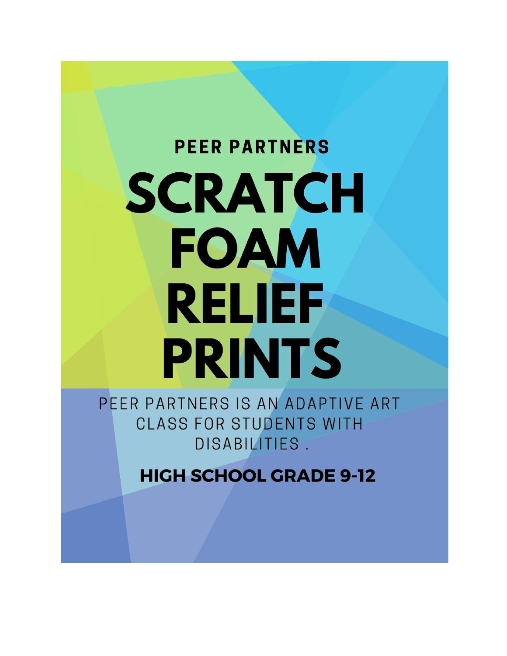# **PEER PARTNERS** SCRATCH **FOAM RELIEF PRINTS**

PEER PARTNERS IS AN ADAPTIVE ART **CLASS FOR STUDENTS WITH** DISABILITIES.

**HIGH SCHOOL GRADE 9-12**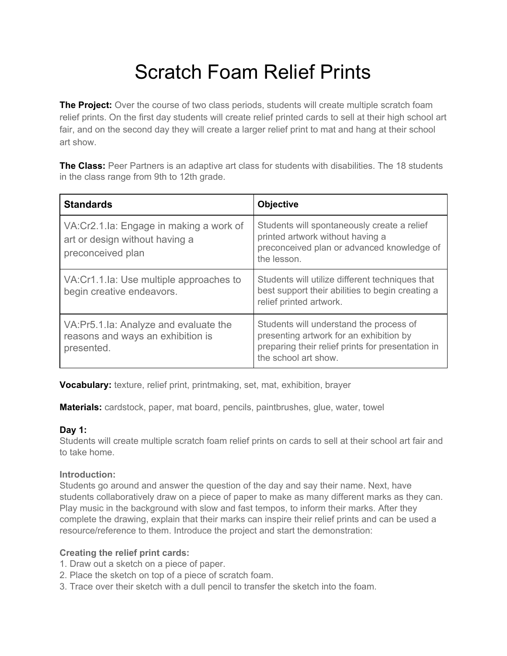## Scratch Foam Relief Prints

**The Project:** Over the course of two class periods, students will create multiple scratch foam relief prints. On the first day students will create relief printed cards to sell at their high school art fair, and on the second day they will create a larger relief print to mat and hang at their school art show.

**The Class:** Peer Partners is an adaptive art class for students with disabilities. The 18 students in the class range from 9th to 12th grade.

| <b>Standards</b>                                                                                 | <b>Objective</b>                                                                                                                                                |
|--------------------------------------------------------------------------------------------------|-----------------------------------------------------------------------------------------------------------------------------------------------------------------|
| VA: Cr2.1. la: Engage in making a work of<br>art or design without having a<br>preconceived plan | Students will spontaneously create a relief<br>printed artwork without having a<br>preconceived plan or advanced knowledge of<br>the lesson.                    |
| VA: Cr1.1.1a: Use multiple approaches to<br>begin creative endeavors.                            | Students will utilize different techniques that<br>best support their abilities to begin creating a<br>relief printed artwork.                                  |
| VA:Pr5.1.la: Analyze and evaluate the<br>reasons and ways an exhibition is<br>presented.         | Students will understand the process of<br>presenting artwork for an exhibition by<br>preparing their relief prints for presentation in<br>the school art show. |

**Vocabulary:** texture, relief print, printmaking, set, mat, exhibition, brayer

**Materials:** cardstock, paper, mat board, pencils, paintbrushes, glue, water, towel

#### **Day 1:**

Students will create multiple scratch foam relief prints on cards to sell at their school art fair and to take home.

#### **Introduction:**

Students go around and answer the question of the day and say their name. Next, have students collaboratively draw on a piece of paper to make as many different marks as they can. Play music in the background with slow and fast tempos, to inform their marks. After they complete the drawing, explain that their marks can inspire their relief prints and can be used a resource/reference to them. Introduce the project and start the demonstration:

#### **Creating the relief print cards:**

- 1. Draw out a sketch on a piece of paper.
- 2. Place the sketch on top of a piece of scratch foam.
- 3. Trace over their sketch with a dull pencil to transfer the sketch into the foam.